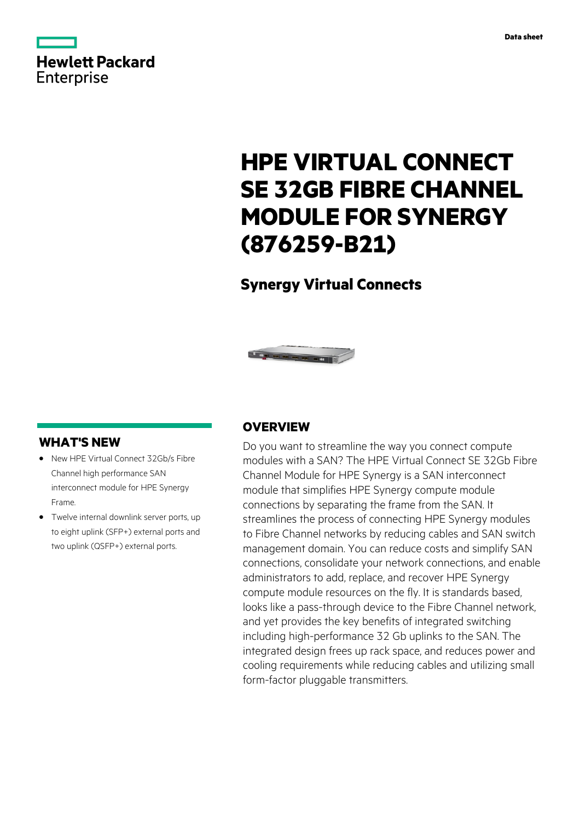

# **HPE VIRTUAL CONNECT SE 32GB FIBRE CHANNEL MODULE FOR SYNERGY (876259-B21)**

# **Synergy Virtual Connects**



### **WHAT'S NEW**

- **·** New HPE Virtual Connect 32Gb/s Fibre Channel high performance SAN interconnect module for HPE Synergy Frame.
- **·** Twelve internal downlink server ports, up to eight uplink (SFP+) external ports and two uplink (QSFP+) external ports.

### **OVERVIEW**

Do you want to streamline the way you connect compute modules with a SAN? The HPE Virtual Connect SE 32Gb Fibre Channel Module for HPE Synergy is a SAN interconnect module that simplifies HPE Synergy compute module connections by separating the frame from the SAN. It streamlines the process of connecting HPE Synergy modules to Fibre Channel networks by reducing cables and SAN switch management domain. You can reduce costs and simplify SAN connections, consolidate your network connections, and enable administrators to add, replace, and recover HPE Synergy compute module resources on the fly. It is standards based, looks like a pass-through device to the Fibre Channel network, and yet provides the key benefits of integrated switching including high-performance 32 Gb uplinks to the SAN. The integrated design frees up rack space, and reduces power and cooling requirements while reducing cables and utilizing small form-factor pluggable transmitters.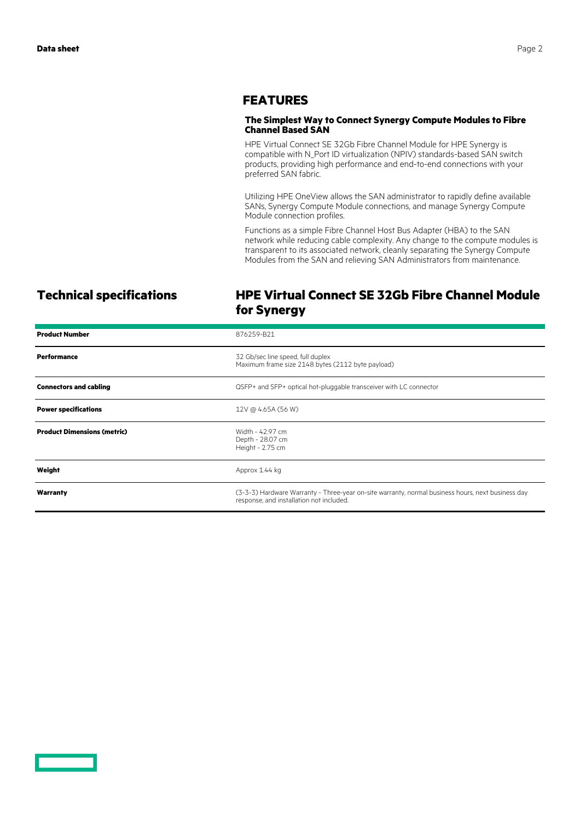### **FEATURES**

### **The Simplest Way to Connect Synergy Compute Modules to Fibre Channel Based SAN**

HPE Virtual Connect SE 32Gb Fibre Channel Module for HPE Synergy is compatible with N\_Port ID virtualization (NPIV) standards-based SAN switch products, providing high performance and end-to-end connections with your preferred SAN fabric.

Utilizing HPE OneView allows the SAN administrator to rapidly define available SANs, Synergy Compute Module connections, and manage Synergy Compute Module connection profiles.

Functions as a simple Fibre Channel Host Bus Adapter (HBA) to the SAN network while reducing cable complexity. Any change to the compute modules is transparent to its associated network, cleanly separating the Synergy Compute Modules from the SAN and relieving SAN Administrators from maintenance.

## **Technical specifications HPE Virtual Connect SE 32Gb Fibre Channel Module for Synergy**

| <b>Product Number</b>              | 876259-B21                                                                                                                                    |
|------------------------------------|-----------------------------------------------------------------------------------------------------------------------------------------------|
| <b>Performance</b>                 | 32 Gb/sec line speed, full duplex<br>Maximum frame size 2148 bytes (2112 byte payload)                                                        |
| <b>Connectors and cabling</b>      | QSFP+ and SFP+ optical hot-pluggable transceiver with LC connector                                                                            |
| <b>Power specifications</b>        | 12V @ 4.65A (56 W)                                                                                                                            |
| <b>Product Dimensions (metric)</b> | Width - 42.97 cm<br>Depth - 28.07 cm<br>Height - 2.75 cm                                                                                      |
| Weight                             | Approx 1.44 kg                                                                                                                                |
| Warranty                           | (3-3-3) Hardware Warranty - Three-year on-site warranty, normal business hours, next business day<br>response, and installation not included. |